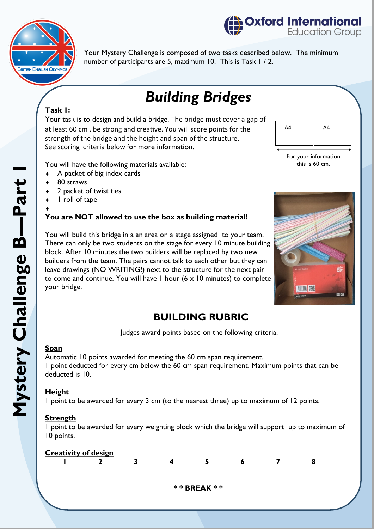

**Coxford International Education Group** 

Your Mystery Challenge is composed of two tasks described below. The minimum number of participants are 5, maximum 10. This is Task 1 / 2.

# *Building Bridges*

#### **Task 1:**

Your task is to design and build a bridge. The bridge must cover a gap of at least 60 cm , be strong and creative. You will score points for the strength of the bridge and the height and span of the structure. See scoring criteria below for more information.



For your information this is 60 cm.

You will have the following materials available:

- $\triangle$  A packet of big index cards
- 80 straws
- 2 packet of twist ties
- 1 roll of tape

#### $\blacklozenge$ **You are NOT allowed to use the box as building material!**

You will build this bridge in a an area on a stage assigned to your team. There can only be two students on the stage for every 10 minute building block. After 10 minutes the two builders will be replaced by two new builders from the team. The pairs cannot talk to each other but they can leave drawings (NO WRITING!) next to the structure for the next pair to come and continue. You will have 1 hour (6 x 10 minutes) to complete your bridge.



## **BUILDING RUBRIC**

Judges award points based on the following criteria.

#### **Span**

Automatic 10 points awarded for meeting the 60 cm span requirement. 1 point deducted for every cm below the 60 cm span requirement. Maximum points that can be deducted is 10.

#### **Height**

1 point to be awarded for every 3 cm (to the nearest three) up to maximum of 12 points.

#### **Strength**

1 point to be awarded for every weighting block which the bridge will support up to maximum of 10 points.

| <b>Creativity of design</b> |                    |  |   |  |   |  |   |  |  |  |
|-----------------------------|--------------------|--|---|--|---|--|---|--|--|--|
|                             |                    |  | д |  | Ð |  | 8 |  |  |  |
|                             |                    |  |   |  |   |  |   |  |  |  |
|                             | <b>** BREAK **</b> |  |   |  |   |  |   |  |  |  |